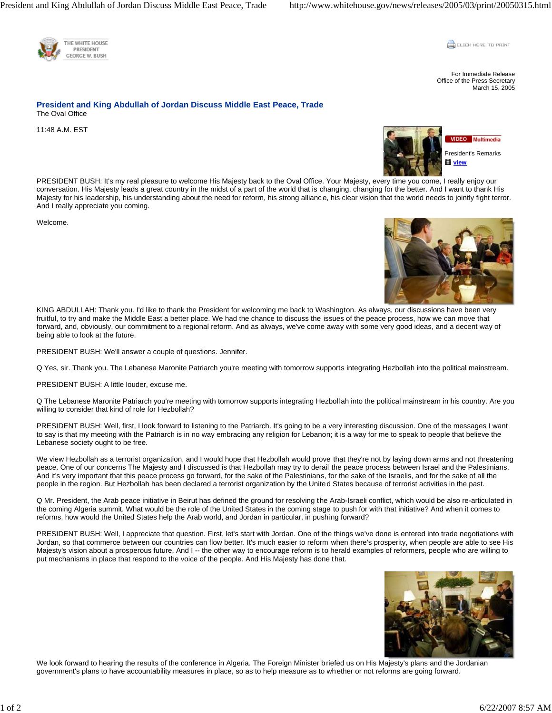

**CLICK HERE TO PRINT** 

For Immediate Release Office of the Press Secretary March 15, 2005

## **President and King Abdullah of Jordan Discuss Middle East Peace, Trade**  The Oval Office

11:48 A.M. EST



PRESIDENT BUSH: It's my real pleasure to welcome His Majesty back to the Oval Office. Your Majesty, every time you come, I really enjoy our conversation. His Majesty leads a great country in the midst of a part of the world that is changing, changing for the better. And I want to thank His Majesty for his leadership, his understanding about the need for reform, his strong alliance, his clear vision that the world needs to jointly fight terror. And I really appreciate you coming.

Welcome.



KING ABDULLAH: Thank you. I'd like to thank the President for welcoming me back to Washington. As always, our discussions have been very fruitful, to try and make the Middle East a better place. We had the chance to discuss the issues of the peace process, how we can move that forward, and, obviously, our commitment to a regional reform. And as always, we've come away with some very good ideas, and a decent way of being able to look at the future.

PRESIDENT BUSH: We'll answer a couple of questions. Jennifer.

Q Yes, sir. Thank you. The Lebanese Maronite Patriarch you're meeting with tomorrow supports integrating Hezbollah into the political mainstream.

PRESIDENT BUSH: A little louder, excuse me.

Q The Lebanese Maronite Patriarch you're meeting with tomorrow supports integrating Hezbollah into the political mainstream in his country. Are you willing to consider that kind of role for Hezbollah?

PRESIDENT BUSH: Well, first, I look forward to listening to the Patriarch. It's going to be a very interesting discussion. One of the messages I want to say is that my meeting with the Patriarch is in no way embracing any religion for Lebanon; it is a way for me to speak to people that believe the Lebanese society ought to be free.

We view Hezbollah as a terrorist organization, and I would hope that Hezbollah would prove that they're not by laying down arms and not threatening peace. One of our concerns The Majesty and I discussed is that Hezbollah may try to derail the peace process between Israel and the Palestinians. And it's very important that this peace process go forward, for the sake of the Palestinians, for the sake of the Israelis, and for the sake of all the people in the region. But Hezbollah has been declared a terrorist organization by the United States because of terrorist activities in the past.

Q Mr. President, the Arab peace initiative in Beirut has defined the ground for resolving the Arab-Israeli conflict, which would be also re-articulated in the coming Algeria summit. What would be the role of the United States in the coming stage to push for with that initiative? And when it comes to reforms, how would the United States help the Arab world, and Jordan in particular, in pushing forward?

PRESIDENT BUSH: Well, I appreciate that question. First, let's start with Jordan. One of the things we've done is entered into trade negotiations with Jordan, so that commerce between our countries can flow better. It's much easier to reform when there's prosperity, when people are able to see His Majesty's vision about a prosperous future. And I -- the other way to encourage reform is to herald examples of reformers, people who are willing to put mechanisms in place that respond to the voice of the people. And His Majesty has done that.



We look forward to hearing the results of the conference in Algeria. The Foreign Minister briefed us on His Majesty's plans and the Jordanian government's plans to have accountability measures in place, so as to help measure as to whether or not reforms are going forward.